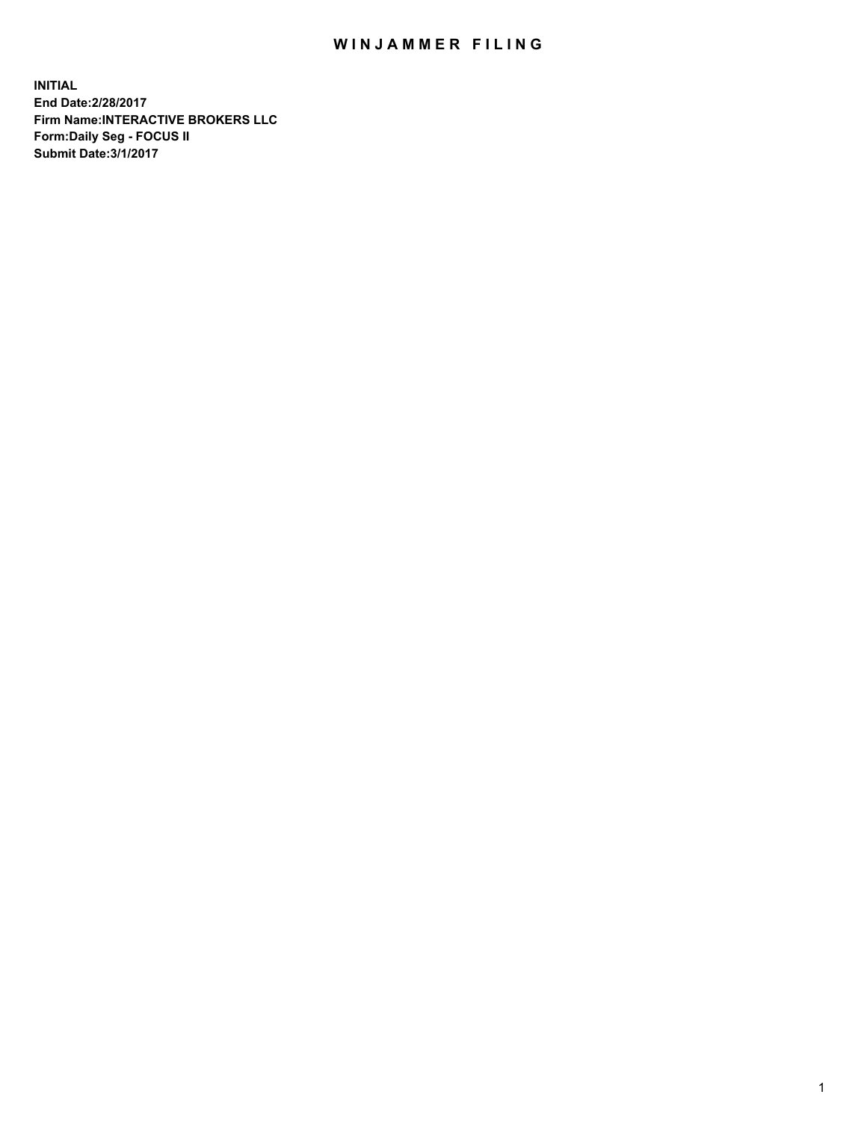## WIN JAMMER FILING

**INITIAL End Date:2/28/2017 Firm Name:INTERACTIVE BROKERS LLC Form:Daily Seg - FOCUS II Submit Date:3/1/2017**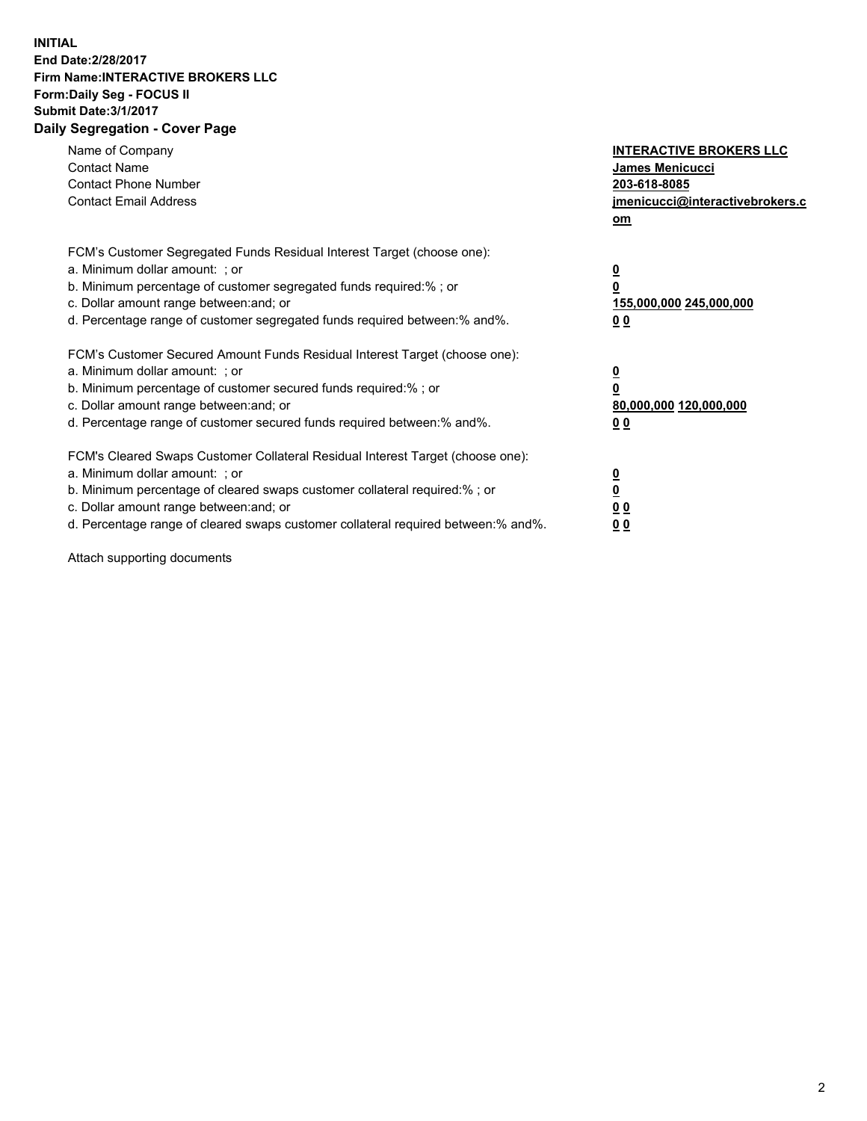## **INITIAL End Date:2/28/2017 Firm Name:INTERACTIVE BROKERS LLC Form:Daily Seg - FOCUS II Submit Date:3/1/2017 Daily Segregation - Cover Page**

| Name of Company<br><b>Contact Name</b><br><b>Contact Phone Number</b><br><b>Contact Email Address</b>                                                                                                                                                                                                                          | <b>INTERACTIVE BROKERS LLC</b><br><b>James Menicucci</b><br>203-618-8085<br>jmenicucci@interactivebrokers.c<br>om |
|--------------------------------------------------------------------------------------------------------------------------------------------------------------------------------------------------------------------------------------------------------------------------------------------------------------------------------|-------------------------------------------------------------------------------------------------------------------|
| FCM's Customer Segregated Funds Residual Interest Target (choose one):<br>a. Minimum dollar amount: ; or<br>b. Minimum percentage of customer segregated funds required:%; or<br>c. Dollar amount range between: and; or<br>d. Percentage range of customer segregated funds required between:% and%.                          | $\overline{\mathbf{0}}$<br>0<br>155,000,000 245,000,000<br>0 <sub>0</sub>                                         |
| FCM's Customer Secured Amount Funds Residual Interest Target (choose one):<br>a. Minimum dollar amount: ; or<br>b. Minimum percentage of customer secured funds required:%; or<br>c. Dollar amount range between: and; or<br>d. Percentage range of customer secured funds required between: % and %.                          | $\overline{\mathbf{0}}$<br>0<br>80,000,000 120,000,000<br>0 <sub>0</sub>                                          |
| FCM's Cleared Swaps Customer Collateral Residual Interest Target (choose one):<br>a. Minimum dollar amount: ; or<br>b. Minimum percentage of cleared swaps customer collateral required:% ; or<br>c. Dollar amount range between: and; or<br>d. Percentage range of cleared swaps customer collateral required between:% and%. | $\overline{\mathbf{0}}$<br>$\overline{\mathbf{0}}$<br>0 <sub>0</sub><br><u>00</u>                                 |

Attach supporting documents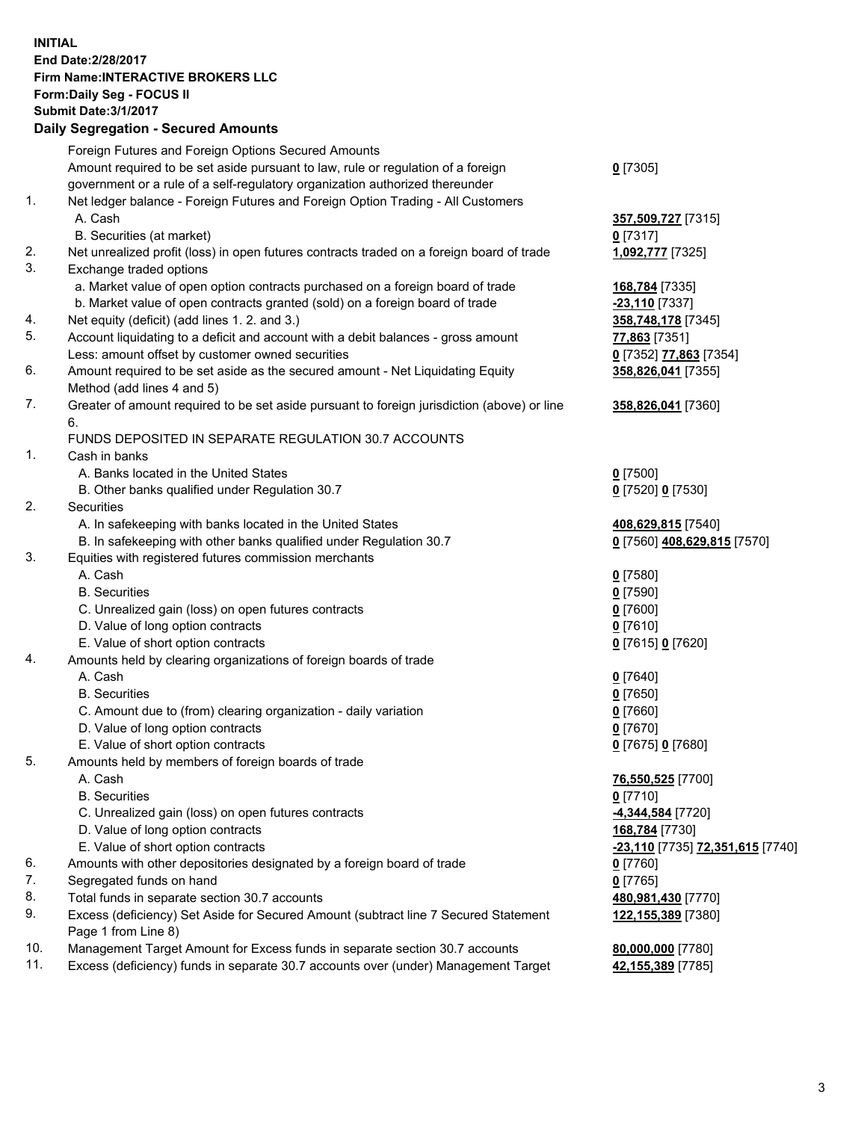**INITIAL End Date:2/28/2017 Firm Name:INTERACTIVE BROKERS LLC Form:Daily Seg - FOCUS II Submit Date:3/1/2017 Daily Segregation - Secured Amounts**

## Foreign Futures and Foreign Options Secured Amounts Amount required to be set aside pursuant to law, rule or regulation of a foreign government or a rule of a self-regulatory organization authorized thereunder **0** [7305] 1. Net ledger balance - Foreign Futures and Foreign Option Trading - All Customers A. Cash **357,509,727** [7315] B. Securities (at market) **0** [7317] 2. Net unrealized profit (loss) in open futures contracts traded on a foreign board of trade **1,092,777** [7325] 3. Exchange traded options a. Market value of open option contracts purchased on a foreign board of trade **168,784** [7335] b. Market value of open contracts granted (sold) on a foreign board of trade **-23,110** [7337] 4. Net equity (deficit) (add lines 1. 2. and 3.) **358,748,178** [7345] 5. Account liquidating to a deficit and account with a debit balances - gross amount **77,863** [7351] Less: amount offset by customer owned securities **0** [7352] **77,863** [7354] 6. Amount required to be set aside as the secured amount - Net Liquidating Equity Method (add lines 4 and 5) **358,826,041** [7355] 7. Greater of amount required to be set aside pursuant to foreign jurisdiction (above) or line 6. **358,826,041** [7360] FUNDS DEPOSITED IN SEPARATE REGULATION 30.7 ACCOUNTS 1. Cash in banks A. Banks located in the United States **0** [7500] B. Other banks qualified under Regulation 30.7 **0** [7520] **0** [7530] 2. Securities A. In safekeeping with banks located in the United States **408,629,815** [7540] B. In safekeeping with other banks qualified under Regulation 30.7 **0** [7560] **408,629,815** [7570] 3. Equities with registered futures commission merchants A. Cash **0** [7580] B. Securities **0** [7590] C. Unrealized gain (loss) on open futures contracts **0** [7600] D. Value of long option contracts **0** [7610] E. Value of short option contracts **0** [7615] **0** [7620] 4. Amounts held by clearing organizations of foreign boards of trade A. Cash **0** [7640] B. Securities **0** [7650] C. Amount due to (from) clearing organization - daily variation **0** [7660] D. Value of long option contracts **0** [7670] E. Value of short option contracts **0** [7675] **0** [7680] 5. Amounts held by members of foreign boards of trade A. Cash **76,550,525** [7700] B. Securities **0** [7710] C. Unrealized gain (loss) on open futures contracts **-4,344,584** [7720] D. Value of long option contracts **168,784** [7730] E. Value of short option contracts **-23,110** [7735] **72,351,615** [7740] 6. Amounts with other depositories designated by a foreign board of trade **0** [7760] 7. Segregated funds on hand **0** [7765] 8. Total funds in separate section 30.7 accounts **480,981,430** [7770] 9. Excess (deficiency) Set Aside for Secured Amount (subtract line 7 Secured Statement Page 1 from Line 8) **122,155,389** [7380] 10. Management Target Amount for Excess funds in separate section 30.7 accounts **80,000,000** [7780] 11. Excess (deficiency) funds in separate 30.7 accounts over (under) Management Target **42,155,389** [7785]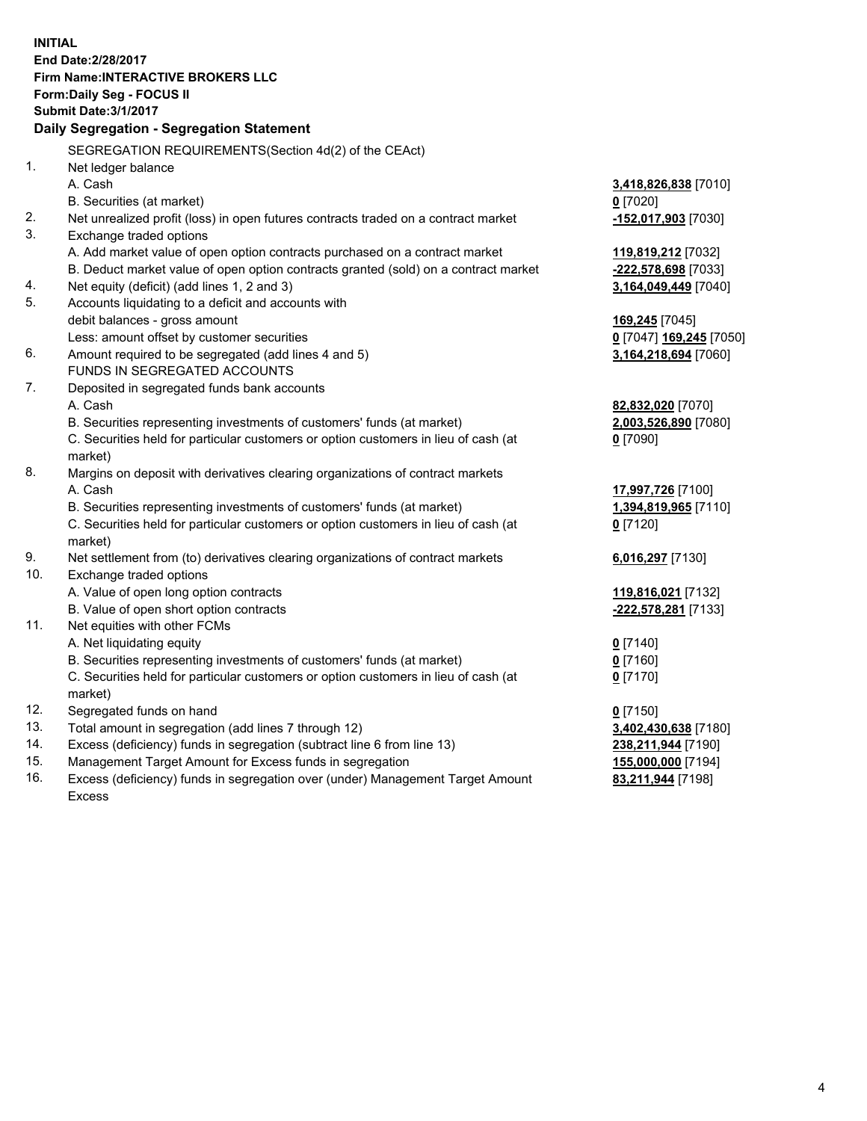**INITIAL End Date:2/28/2017 Firm Name:INTERACTIVE BROKERS LLC Form:Daily Seg - FOCUS II Submit Date:3/1/2017 Daily Segregation - Segregation Statement** SEGREGATION REQUIREMENTS(Section 4d(2) of the CEAct) 1. Net ledger balance A. Cash **3,418,826,838** [7010] B. Securities (at market) **0** [7020] 2. Net unrealized profit (loss) in open futures contracts traded on a contract market **-152,017,903** [7030] 3. Exchange traded options A. Add market value of open option contracts purchased on a contract market **119,819,212** [7032] B. Deduct market value of open option contracts granted (sold) on a contract market **-222,578,698** [7033] 4. Net equity (deficit) (add lines 1, 2 and 3) **3,164,049,449** [7040] 5. Accounts liquidating to a deficit and accounts with debit balances - gross amount **169,245** [7045] Less: amount offset by customer securities **0** [7047] **169,245** [7050] 6. Amount required to be segregated (add lines 4 and 5) **3,164,218,694** [7060] FUNDS IN SEGREGATED ACCOUNTS 7. Deposited in segregated funds bank accounts A. Cash **82,832,020** [7070] B. Securities representing investments of customers' funds (at market) **2,003,526,890** [7080] C. Securities held for particular customers or option customers in lieu of cash (at market) **0** [7090] 8. Margins on deposit with derivatives clearing organizations of contract markets A. Cash **17,997,726** [7100] B. Securities representing investments of customers' funds (at market) **1,394,819,965** [7110] C. Securities held for particular customers or option customers in lieu of cash (at market) **0** [7120] 9. Net settlement from (to) derivatives clearing organizations of contract markets **6,016,297** [7130] 10. Exchange traded options A. Value of open long option contracts **119,816,021** [7132] B. Value of open short option contracts **-222,578,281** [7133] 11. Net equities with other FCMs A. Net liquidating equity **0** [7140] B. Securities representing investments of customers' funds (at market) **0** [7160] C. Securities held for particular customers or option customers in lieu of cash (at market) **0** [7170] 12. Segregated funds on hand **0** [7150] 13. Total amount in segregation (add lines 7 through 12) **3,402,430,638** [7180] 14. Excess (deficiency) funds in segregation (subtract line 6 from line 13) **238,211,944** [7190] 15. Management Target Amount for Excess funds in segregation **155,000,000** [7194] **83,211,944** [7198]

16. Excess (deficiency) funds in segregation over (under) Management Target Amount Excess